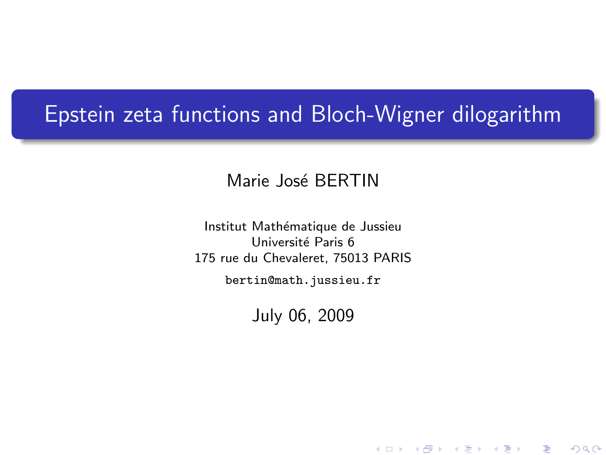# Epstein zeta functions and Bloch-Wigner dilogarithm

Marie José BERTIN

Institut Mathématique de Jussieu Université Paris 6 175 rue du Chevaleret, 75013 PARIS

<span id="page-0-0"></span>bertin@math.jussieu.fr

July 06, 2009

★ ロ ▶ → 御 ▶ → 결 ▶ → 결 ▶ │ 결

 $2Q$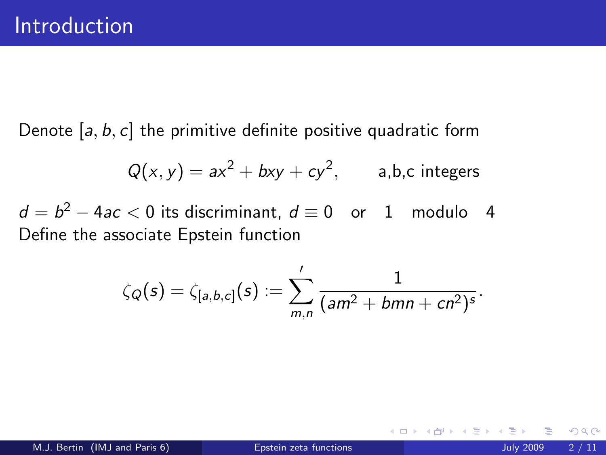Denote  $[a, b, c]$  the primitive definite positive quadratic form

$$
Q(x, y) = ax^2 + bxy + cy^2, \qquad \text{a,b,c integers}
$$

 $d=b^2-4ac< 0$  its discriminant,  $d\equiv 0$  or 1 modulo 4 Define the associate Epstein function

$$
\zeta_Q(s) = \zeta_{[a,b,c]}(s) := \sum'_{m,n} \frac{1}{(am^2 + bmn + cn^2)^s}.
$$

4 0 8

 $299$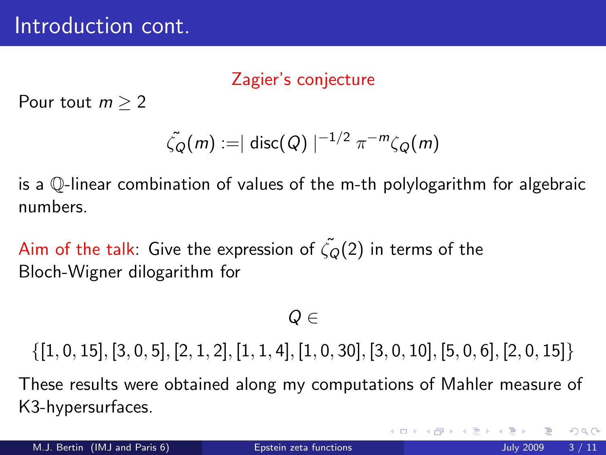# Zagier's conjecture

Pour tout  $m > 2$ 

$$
\tilde{\zeta_Q}(m) := |\operatorname{disc}(Q)|^{-1/2} \pi^{-m} \zeta_Q(m)
$$

is a Q-linear combination of values of the m-th polylogarithm for algebraic numbers.

Aim of the talk: Give the expression of  $\tilde{\zeta}_0(2)$  in terms of the Bloch-Wigner dilogarithm for

 $Q \in$ 

 $\{[1, 0, 15], [3, 0, 5], [2, 1, 2], [1, 1, 4], [1, 0, 30], [3, 0, 10], [5, 0, 6], [2, 0, 15]\}$ 

These results were obtained along my computations of Mahler measure of K3-hypersurfaces.

 $\Omega$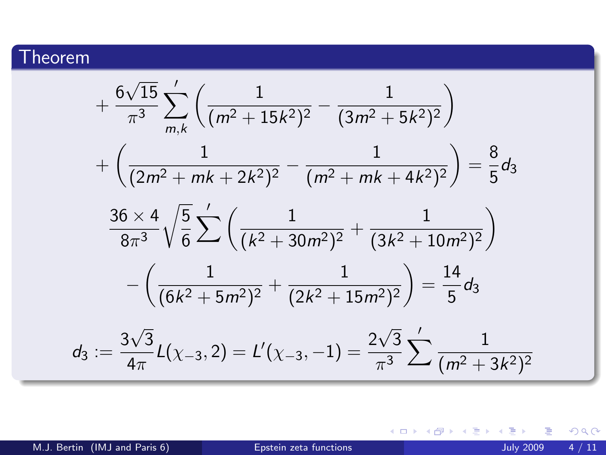# Theorem

$$
+\frac{6\sqrt{15}}{\pi^3} \sum_{m,k}^{\prime} \left( \frac{1}{(m^2+15k^2)^2} - \frac{1}{(3m^2+5k^2)^2} \right)
$$
  
+ 
$$
\left( \frac{1}{(2m^2+mk+2k^2)^2} - \frac{1}{(m^2+mk+4k^2)^2} \right) = \frac{8}{5} d_3
$$
  

$$
\frac{36 \times 4}{8\pi^3} \sqrt{\frac{5}{6}} \sum_{m}^{\prime} \left( \frac{1}{(k^2+30m^2)^2} + \frac{1}{(3k^2+10m^2)^2} \right)
$$
  
- 
$$
\left( \frac{1}{(6k^2+5m^2)^2} + \frac{1}{(2k^2+15m^2)^2} \right) = \frac{14}{5} d_3
$$
  

$$
d_3 := \frac{3\sqrt{3}}{4\pi} L(\chi_{-3}, 2) = L'(\chi_{-3}, -1) = \frac{2\sqrt{3}}{\pi^3} \sum_{m}^{\prime} \frac{1}{(m^2+3k^2)^2}
$$

M.J. Bertin (IMJ and Paris 6) [Epstein zeta functions](#page-0-0) July 2009 4 / 11

重

<span id="page-3-0"></span> $2990$ 

イロト イ部 トイヨ トイヨト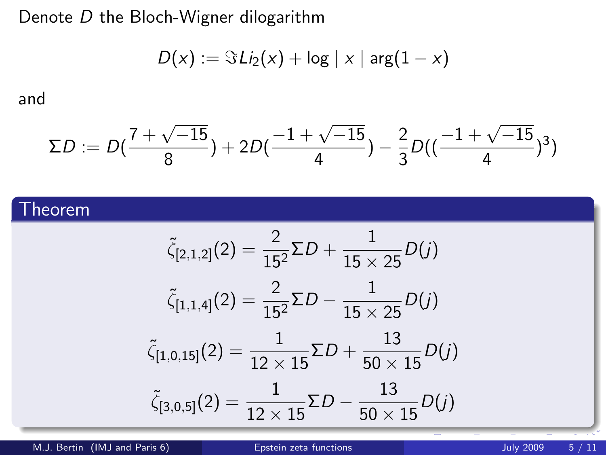Denote D the Bloch-Wigner dilogarithm

$$
D(x) := \Im \, Li_2(x) + \log |x| \, \arg(1-x)
$$

and

$$
\Sigma D := D(\frac{7+\sqrt{-15}}{8}) + 2D(\frac{-1+\sqrt{-15}}{4}) - \frac{2}{3}D((\frac{-1+\sqrt{-15}}{4})^3)
$$

## Theorem

$$
\tilde{\zeta}_{[2,1,2]}(2) = \frac{2}{15^2} \Sigma D + \frac{1}{15 \times 25} D(j)
$$

$$
\tilde{\zeta}_{[1,1,4]}(2) = \frac{2}{15^2} \Sigma D - \frac{1}{15 \times 25} D(j)
$$

$$
\tilde{\zeta}_{[1,0,15]}(2) = \frac{1}{12 \times 15} \Sigma D + \frac{13}{50 \times 15} D(j)
$$

$$
\tilde{\zeta}_{[3,0,5]}(2) = \frac{1}{12 \times 15} \Sigma D - \frac{13}{50 \times 15} D(j)
$$

M.J. Bertin (IMJ and Paris 6) **External Experimental Experiment Constant Constant Constant Constant Constant Constant Constant Constant Constant Constant Constant Constant Constant Constant Constant Constant Constant Const**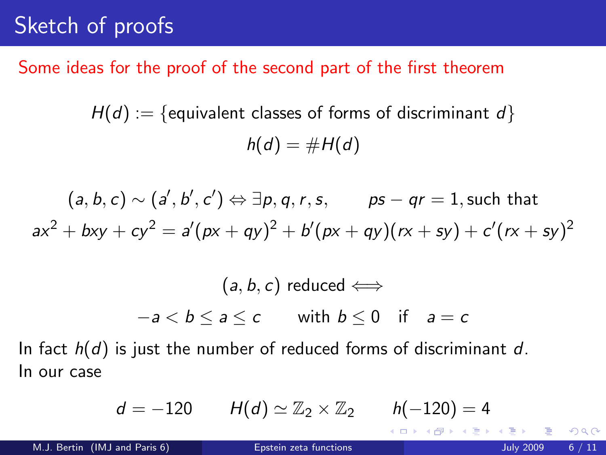# Sketch of proofs

### Some ideas for the proof of the second part of the first theorem

 $H(d) := \{$  equivalent classes of forms of discriminant d $\}$  $h(d) = #H(d)$ 

$$
(a, b, c) \sim (a', b', c') \Leftrightarrow \exists p, q, r, s, \qquad ps - qr = 1, \text{ such that}
$$
  

$$
ax^2 + bxy + cy^2 = a'(px + qy)^2 + b'(px + qy)(rx + sy) + c'(rx + sy)^2
$$

$$
(a, b, c) \text{ reduced} \Longleftrightarrow
$$

$$
-a < b \le a \le c \qquad \text{with } b \le 0 \quad \text{if} \quad a = c
$$

In fact  $h(d)$  is just the number of reduced forms of discriminant d. In our case

$$
d=-120 \qquad H(d)\simeq \mathbb{Z}_2\times \mathbb{Z}_2 \qquad h(-120)=4
$$

4 0 8

14 B X 4 B

<span id="page-5-0"></span> $QQ$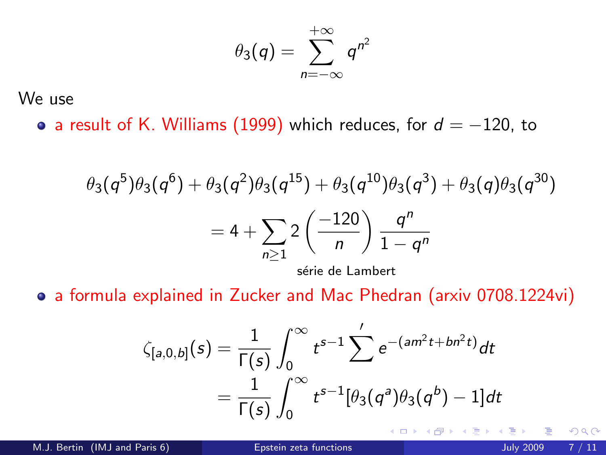$$
\theta_3(q)=\sum_{n=-\infty}^{+\infty}q^{n^2}
$$

We use

• a result of K. Williams (1999) which reduces, for  $d = -120$ , to

$$
\theta_3(q^5)\theta_3(q^6) + \theta_3(q^2)\theta_3(q^{15}) + \theta_3(q^{10})\theta_3(q^3) + \theta_3(q)\theta_3(q^{30})
$$

$$
= 4 + \sum_{n\geq 1} 2\left(\frac{-120}{n}\right) \frac{q^n}{1-q^n}
$$

série de Lambert

a formula explained in Zucker and Mac Phedran (arxiv 0708.1224vi)

$$
\zeta_{[a,0,b]}(s) = \frac{1}{\Gamma(s)} \int_0^\infty t^{s-1} \sum'_{j} e^{-(am^2t + bn^2t)} dt
$$
  
= 
$$
\frac{1}{\Gamma(s)} \int_0^\infty t^{s-1} [\theta_3(q^a)\theta_3(q^b) - 1] dt
$$

4 0 8

 $QQ$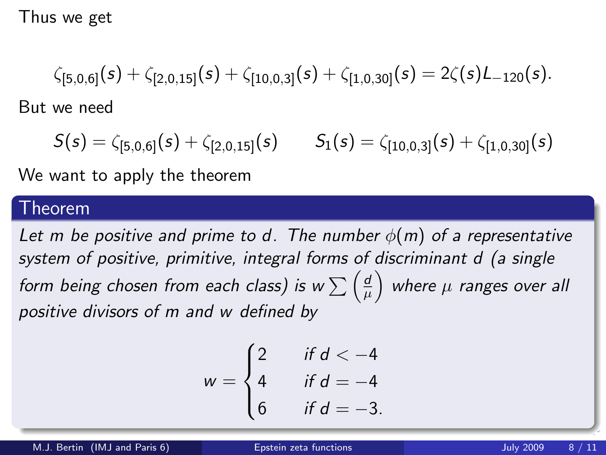Thus we get

$$
\zeta_{[5,0,6]}(s) + \zeta_{[2,0,15]}(s) + \zeta_{[10,0,3]}(s) + \zeta_{[1,0,30]}(s) = 2\zeta(s)L_{-120}(s).
$$

But we need

 $S(s) = \zeta_{[5,0,6]}(s) + \zeta_{[2,0,15]}(s)$   $S_1(s) = \zeta_{[10,0,3]}(s) + \zeta_{[1,0,30]}(s)$ 

We want to apply the theorem

#### Theorem

Let m be positive and prime to d. The number  $\phi(m)$  of a representative system of positive, primitive, integral forms of discriminant d (a single form being chosen from each class) is w  $\sum \left(\frac{d}{dt}\right)$  $\left(\frac{d}{\mu}\right)$  where  $\mu$  ranges over all positive divisors of m and w defined by

$$
w = \begin{cases} 2 & \text{if } d < -4 \\ 4 & \text{if } d = -4 \\ 6 & \text{if } d = -3. \end{cases}
$$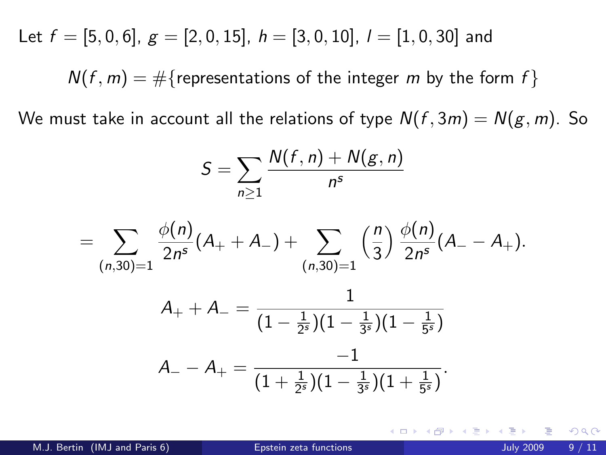Let  $f = [5, 0, 6], g = [2, 0, 15], h = [3, 0, 10], l = [1, 0, 30]$  and

 $N(f, m) = \#\{$  representations of the integer m by the form f $\}$ 

We must take in account all the relations of type  $N(f, 3m) = N(g, m)$ . So

$$
S=\sum_{n\geq 1}\frac{N(f,n)+N(g,n)}{n^s}
$$

$$
= \sum_{(n,30)=1} \frac{\phi(n)}{2n^s} (A_+ + A_-) + \sum_{(n,30)=1} \left(\frac{n}{3}\right) \frac{\phi(n)}{2n^s} (A_- - A_+).
$$

$$
A_{+} + A_{-} = \frac{1}{(1 - \frac{1}{2^{s}})(1 - \frac{1}{3^{s}})(1 - \frac{1}{5^{s}})}
$$

$$
A_{-} - A_{+} = \frac{-1}{(1 + \frac{1}{2^{s}})(1 - \frac{1}{3^{s}})(1 + \frac{1}{5^{s}})}.
$$

∢ □ ▶ .⊀ 何 ▶ .∢ ∃ ▶ .∢

 $\Omega$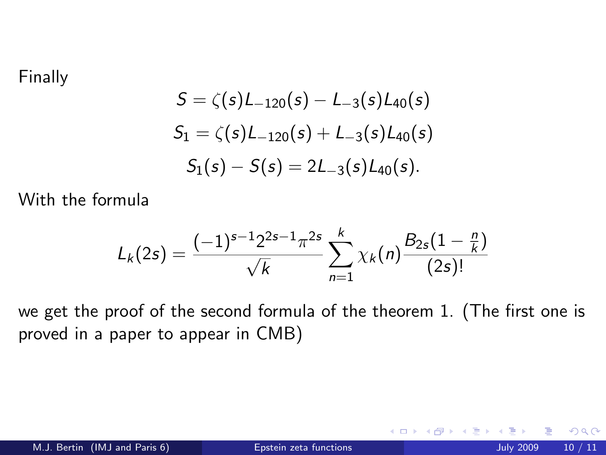#### Finally

$$
S = \zeta(s)L_{-120}(s) - L_{-3}(s)L_{40}(s)
$$
  
\n
$$
S_1 = \zeta(s)L_{-120}(s) + L_{-3}(s)L_{40}(s)
$$
  
\n
$$
S_1(s) - S(s) = 2L_{-3}(s)L_{40}(s).
$$

With the formula

$$
L_k(2s) = \frac{(-1)^{s-1} 2^{2s-1} \pi^{2s}}{\sqrt{k}} \sum_{n=1}^k \chi_k(n) \frac{B_{2s}(1-\frac{n}{k})}{(2s)!}
$$

we get the proof of the second formula of the theorem 1. (The first one is proved in a paper to appear in CMB)

4 0 8

 $299$